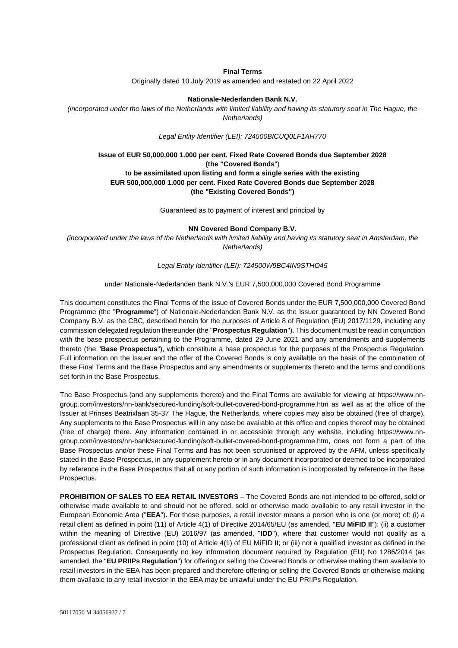### **Final Terms**

Originally dated 10 July 2019 as amended and restated on 22 April 2022

#### **Nationale-Nederlanden Bank N.V.**

*(incorporated under the laws of the Netherlands with limited liability and having its statutory seat in The Hague, the Netherlands)*

*Legal Entity Identifier (LEI): 724500BICUQ0LF1AH770*

### **Issue of EUR 50,000,000 1.000 per cent. Fixed Rate Covered Bonds due September 2028 (the "Covered Bonds**") **to be assimilated upon listing and form a single series with the existing EUR 500,000,000 1.000 per cent. Fixed Rate Covered Bonds due September 2028 (the "Existing Covered Bonds")**

Guaranteed as to payment of interest and principal by

#### **NN Covered Bond Company B.V.**

*(incorporated under the laws of the Netherlands with limited liability and having its statutory seat in Amsterdam, the Netherlands)*

*Legal Entity Identifier (LEI): 724500W9BC4IN9STHO45*

#### under Nationale-Nederlanden Bank N.V.'s EUR 7,500,000,000 Covered Bond Programme

This document constitutes the Final Terms of the issue of Covered Bonds under the EUR 7,500,000,000 Covered Bond Programme (the "**Programme**") of Nationale-Nederlanden Bank N.V. as the Issuer guaranteed by NN Covered Bond Company B.V. as the CBC, described herein for the purposes of Article 8 of Regulation (EU) 2017/1129, including any commission delegated regulation thereunder (the "**Prospectus Regulation**"). This document must be read in conjunction with the base prospectus pertaining to the Programme, dated 29 June 2021 and any amendments and supplements thereto (the "**Base Prospectus**"), which constitute a base prospectus for the purposes of the Prospectus Regulation. Full information on the Issuer and the offer of the Covered Bonds is only available on the basis of the combination of these Final Terms and the Base Prospectus and any amendments or supplements thereto and the terms and conditions set forth in the Base Prospectus.

The Base Prospectus (and any supplements thereto) and the Final Terms are available for viewing at [https://www.nn](https://www.nn-group.com/investors/nn-bank/secured-funding/soft-bullet-covered-bond-programme.htm)[group.com/investors/nn-bank/secured-funding/soft-bullet-covered-bond-programme.htm](https://www.nn-group.com/investors/nn-bank/secured-funding/soft-bullet-covered-bond-programme.htm) as well as at the office of the Issuer at Prinses Beatrixlaan 35-37 The Hague, the Netherlands, where copies may also be obtained (free of charge). Any supplements to the Base Prospectus will in any case be available at this office and copies thereof may be obtained (free of charge) there. Any information contained in or accessible through any website, including [https://www.nn](https://www.nn-group.com/investors/nn-bank/secured-funding/soft-bullet-covered-bond-programme.htm)[group.com/investors/nn-bank/secured-funding/soft-bullet-covered-bond-programme.htm,](https://www.nn-group.com/investors/nn-bank/secured-funding/soft-bullet-covered-bond-programme.htm) does not form a part of the Base Prospectus and/or these Final Terms and has not been scrutinised or approved by the AFM, unless specifically stated in the Base Prospectus, in any supplement hereto or in any document incorporated or deemed to be incorporated by reference in the Base Prospectus that all or any portion of such information is incorporated by reference in the Base Prospectus.

**PROHIBITION OF SALES TO EEA RETAIL INVESTORS** – The Covered Bonds are not intended to be offered, sold or otherwise made available to and should not be offered, sold or otherwise made available to any retail investor in the European Economic Area ("**EEA**"). For these purposes, a retail investor means a person who is one (or more) of: (i) a retail client as defined in point (11) of Article 4(1) of Directive 2014/65/EU (as amended, "**EU MiFID II**"); (ii) a customer within the meaning of Directive (EU) 2016/97 (as amended, "**IDD**"), where that customer would not qualify as a professional client as defined in point (10) of Article 4(1) of EU MiFID II; or (iii) not a qualified investor as defined in the Prospectus Regulation. Consequently no key information document required by Regulation (EU) No 1286/2014 (as amended, the "**EU PRIIPs Regulation**") for offering or selling the Covered Bonds or otherwise making them available to retail investors in the EEA has been prepared and therefore offering or selling the Covered Bonds or otherwise making them available to any retail investor in the EEA may be unlawful under the EU PRIIPs Regulation.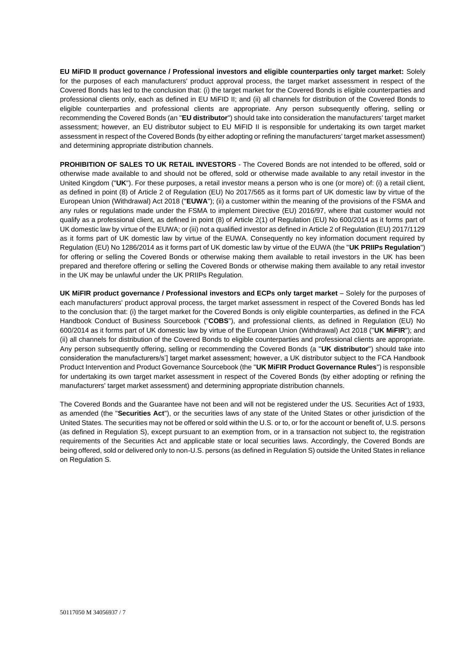**EU MiFID II product governance / Professional investors and eligible counterparties only target market:** Solely for the purposes of each manufacturers' product approval process, the target market assessment in respect of the Covered Bonds has led to the conclusion that: (i) the target market for the Covered Bonds is eligible counterparties and professional clients only, each as defined in EU MiFID II; and (ii) all channels for distribution of the Covered Bonds to eligible counterparties and professional clients are appropriate. Any person subsequently offering, selling or recommending the Covered Bonds (an "**EU distributor**") should take into consideration the manufacturers' target market assessment; however, an EU distributor subject to EU MiFID II is responsible for undertaking its own target market assessment in respect of the Covered Bonds (by either adopting or refining the manufacturers' target market assessment) and determining appropriate distribution channels.

**PROHIBITION OF SALES TO UK RETAIL INVESTORS** - The Covered Bonds are not intended to be offered, sold or otherwise made available to and should not be offered, sold or otherwise made available to any retail investor in the United Kingdom ("**UK**"). For these purposes, a retail investor means a person who is one (or more) of: (i) a retail client, as defined in point (8) of Article 2 of Regulation (EU) No 2017/565 as it forms part of UK domestic law by virtue of the European Union (Withdrawal) Act 2018 ("**EUWA**"); (ii) a customer within the meaning of the provisions of the FSMA and any rules or regulations made under the FSMA to implement Directive (EU) 2016/97, where that customer would not qualify as a professional client, as defined in point (8) of Article 2(1) of Regulation (EU) No 600/2014 as it forms part of UK domestic law by virtue of the EUWA; or (iii) not a qualified investor as defined in Article 2 of Regulation (EU) 2017/1129 as it forms part of UK domestic law by virtue of the EUWA. Consequently no key information document required by Regulation (EU) No 1286/2014 as it forms part of UK domestic law by virtue of the EUWA (the "**UK PRIIPs Regulation**") for offering or selling the Covered Bonds or otherwise making them available to retail investors in the UK has been prepared and therefore offering or selling the Covered Bonds or otherwise making them available to any retail investor in the UK may be unlawful under the UK PRIIPs Regulation.

**UK MiFIR product governance / Professional investors and ECPs only target market** – Solely for the purposes of each manufacturers' product approval process, the target market assessment in respect of the Covered Bonds has led to the conclusion that: (i) the target market for the Covered Bonds is only eligible counterparties, as defined in the FCA Handbook Conduct of Business Sourcebook ("**COBS**"), and professional clients, as defined in Regulation (EU) No 600/2014 as it forms part of UK domestic law by virtue of the European Union (Withdrawal) Act 2018 ("**UK MiFIR**"); and (ii) all channels for distribution of the Covered Bonds to eligible counterparties and professional clients are appropriate. Any person subsequently offering, selling or recommending the Covered Bonds (a "**UK distributor**") should take into consideration the manufacturers/s'] target market assessment; however, a UK distributor subject to the FCA Handbook Product Intervention and Product Governance Sourcebook (the "**UK MiFIR Product Governance Rules**") is responsible for undertaking its own target market assessment in respect of the Covered Bonds (by either adopting or refining the manufacturers' target market assessment) and determining appropriate distribution channels.

The Covered Bonds and the Guarantee have not been and will not be registered under the US. Securities Act of 1933, as amended (the "**Securities Act**"), or the securities laws of any state of the United States or other jurisdiction of the United States. The securities may not be offered or sold within the U.S. or to, or for the account or benefit of, U.S. persons (as defined in Regulation S), except pursuant to an exemption from, or in a transaction not subject to, the registration requirements of the Securities Act and applicable state or local securities laws. Accordingly, the Covered Bonds are being offered, sold or delivered only to non-U.S. persons (as defined in Regulation S) outside the United States in reliance on Regulation S.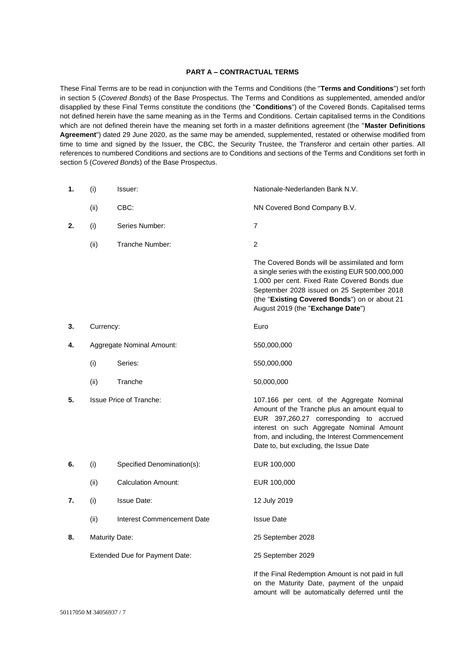### **PART A – CONTRACTUAL TERMS**

These Final Terms are to be read in conjunction with the Terms and Conditions (the "**Terms and Conditions**") set forth in section 5 (*Covered Bonds*) of the Base Prospectus. The Terms and Conditions as supplemented, amended and/or disapplied by these Final Terms constitute the conditions (the "**Conditions**") of the Covered Bonds. Capitalised terms not defined herein have the same meaning as in the Terms and Conditions. Certain capitalised terms in the Conditions which are not defined therein have the meaning set forth in a master definitions agreement (the "**Master Definitions Agreement**") dated 29 June 2020, as the same may be amended, supplemented, restated or otherwise modified from time to time and signed by the Issuer, the CBC, the Security Trustee, the Transferor and certain other parties. All references to numbered Conditions and sections are to Conditions and sections of the Terms and Conditions set forth in section 5 (*Covered Bonds*) of the Base Prospectus.

| 1. | (i)            | Issuer:                          | Nationale-Nederlanden Bank N.V.                                                                                                                                                                                                                                                         |
|----|----------------|----------------------------------|-----------------------------------------------------------------------------------------------------------------------------------------------------------------------------------------------------------------------------------------------------------------------------------------|
|    | (ii)           | CBC:                             | NN Covered Bond Company B.V.                                                                                                                                                                                                                                                            |
| 2. | (i)            | Series Number:                   | $\overline{7}$                                                                                                                                                                                                                                                                          |
|    | (ii)           | Tranche Number:                  | $\overline{2}$                                                                                                                                                                                                                                                                          |
|    |                |                                  | The Covered Bonds will be assimilated and form<br>a single series with the existing EUR 500,000,000<br>1.000 per cent. Fixed Rate Covered Bonds due<br>September 2028 issued on 25 September 2018<br>(the "Existing Covered Bonds") on or about 21<br>August 2019 (the "Exchange Date") |
| 3. | Currency:      |                                  | Euro                                                                                                                                                                                                                                                                                    |
| 4. |                | <b>Aggregate Nominal Amount:</b> | 550,000,000                                                                                                                                                                                                                                                                             |
|    | (i)            | Series:                          | 550,000,000                                                                                                                                                                                                                                                                             |
|    | (ii)           | Tranche                          | 50,000,000                                                                                                                                                                                                                                                                              |
| 5. |                | <b>Issue Price of Tranche:</b>   | 107.166 per cent. of the Aggregate Nominal<br>Amount of the Tranche plus an amount equal to<br>EUR 397,260.27 corresponding to accrued<br>interest on such Aggregate Nominal Amount<br>from, and including, the Interest Commencement<br>Date to, but excluding, the Issue Date         |
| 6. | (i)            | Specified Denomination(s):       | EUR 100,000                                                                                                                                                                                                                                                                             |
|    | (ii)           | <b>Calculation Amount:</b>       | EUR 100,000                                                                                                                                                                                                                                                                             |
| 7. | (i)            | <b>Issue Date:</b>               | 12 July 2019                                                                                                                                                                                                                                                                            |
|    | (ii)           | Interest Commencement Date       | <b>Issue Date</b>                                                                                                                                                                                                                                                                       |
| 8. | Maturity Date: |                                  | 25 September 2028                                                                                                                                                                                                                                                                       |
|    |                | Extended Due for Payment Date:   | 25 September 2029                                                                                                                                                                                                                                                                       |
|    |                |                                  | If the Final Redemption Amount is not paid in full                                                                                                                                                                                                                                      |

on the Maturity Date, payment of the unpaid amount will be automatically deferred until the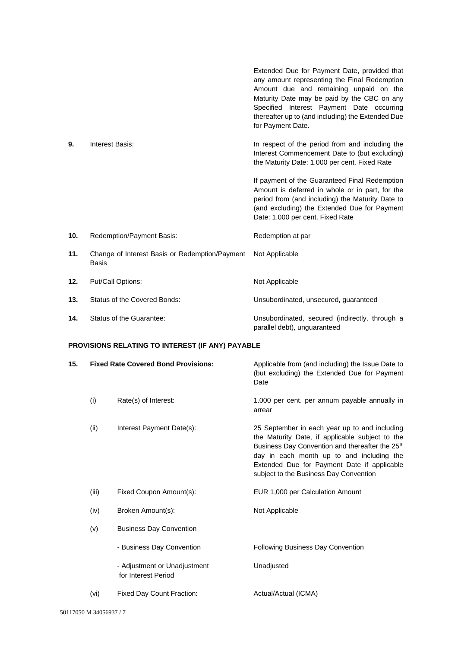|                                                         |                                                                | Extended Due for Payment Date, provided that<br>any amount representing the Final Redemption<br>Amount due and remaining unpaid on the<br>Maturity Date may be paid by the CBC on any<br>Specified Interest Payment Date occurring<br>thereafter up to (and including) the Extended Due<br>for Payment Date. |  |
|---------------------------------------------------------|----------------------------------------------------------------|--------------------------------------------------------------------------------------------------------------------------------------------------------------------------------------------------------------------------------------------------------------------------------------------------------------|--|
| 9.                                                      | Interest Basis:                                                | In respect of the period from and including the<br>Interest Commencement Date to (but excluding)<br>the Maturity Date: 1.000 per cent. Fixed Rate                                                                                                                                                            |  |
|                                                         |                                                                | If payment of the Guaranteed Final Redemption<br>Amount is deferred in whole or in part, for the<br>period from (and including) the Maturity Date to<br>(and excluding) the Extended Due for Payment<br>Date: 1.000 per cent. Fixed Rate                                                                     |  |
| 10.                                                     | Redemption/Payment Basis:                                      | Redemption at par                                                                                                                                                                                                                                                                                            |  |
| 11.                                                     | Change of Interest Basis or Redemption/Payment<br><b>Basis</b> | Not Applicable                                                                                                                                                                                                                                                                                               |  |
| 12.                                                     | Put/Call Options:                                              | Not Applicable                                                                                                                                                                                                                                                                                               |  |
| 13.                                                     | Status of the Covered Bonds:                                   | Unsubordinated, unsecured, guaranteed                                                                                                                                                                                                                                                                        |  |
| 14.                                                     | Status of the Guarantee:                                       | Unsubordinated, secured (indirectly, through a<br>parallel debt), unguaranteed                                                                                                                                                                                                                               |  |
| <b>PROVISIONS RELATING TO INTEREST (IF ANY) PAYABLE</b> |                                                                |                                                                                                                                                                                                                                                                                                              |  |

| 15. |       | <b>Fixed Rate Covered Bond Provisions:</b>          | Applicable from (and including) the Issue Date to<br>(but excluding) the Extended Due for Payment<br>Date                                                                                                                                                                                             |
|-----|-------|-----------------------------------------------------|-------------------------------------------------------------------------------------------------------------------------------------------------------------------------------------------------------------------------------------------------------------------------------------------------------|
|     | (i)   | Rate(s) of Interest:                                | 1.000 per cent. per annum payable annually in<br>arrear                                                                                                                                                                                                                                               |
|     | (ii)  | Interest Payment Date(s):                           | 25 September in each year up to and including<br>the Maturity Date, if applicable subject to the<br>Business Day Convention and thereafter the 25 <sup>th</sup><br>day in each month up to and including the<br>Extended Due for Payment Date if applicable<br>subject to the Business Day Convention |
|     | (iii) | Fixed Coupon Amount(s):                             | EUR 1,000 per Calculation Amount                                                                                                                                                                                                                                                                      |
|     | (iv)  | Broken Amount(s):                                   | Not Applicable                                                                                                                                                                                                                                                                                        |
|     | (v)   | <b>Business Day Convention</b>                      |                                                                                                                                                                                                                                                                                                       |
|     |       | - Business Day Convention                           | Following Business Day Convention                                                                                                                                                                                                                                                                     |
|     |       | - Adjustment or Unadjustment<br>for Interest Period | Unadjusted                                                                                                                                                                                                                                                                                            |
|     | (vi)  | Fixed Day Count Fraction:                           | Actual/Actual (ICMA)                                                                                                                                                                                                                                                                                  |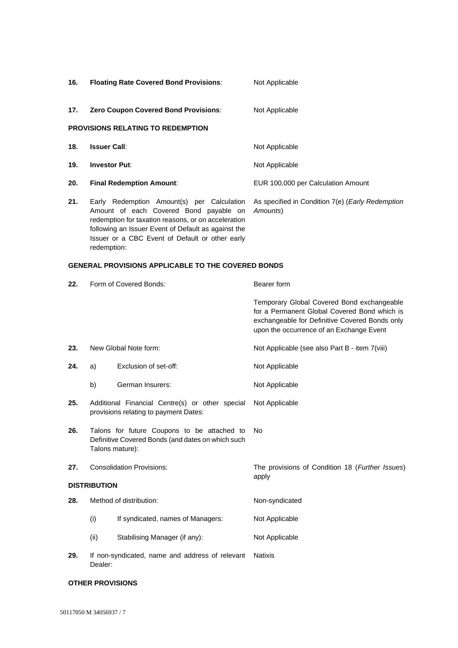| 16. | <b>Floating Rate Covered Bond Provisions:</b>                                                                                                                                                                                                                        | Not Applicable                                                       |
|-----|----------------------------------------------------------------------------------------------------------------------------------------------------------------------------------------------------------------------------------------------------------------------|----------------------------------------------------------------------|
| 17. | <b>Zero Coupon Covered Bond Provisions:</b>                                                                                                                                                                                                                          | Not Applicable                                                       |
|     | <b>PROVISIONS RELATING TO REDEMPTION</b>                                                                                                                                                                                                                             |                                                                      |
| 18. | <b>Issuer Call:</b>                                                                                                                                                                                                                                                  | Not Applicable                                                       |
| 19. | <b>Investor Put:</b>                                                                                                                                                                                                                                                 | Not Applicable                                                       |
| 20. | <b>Final Redemption Amount:</b>                                                                                                                                                                                                                                      | EUR 100,000 per Calculation Amount                                   |
| 21. | Early Redemption Amount(s) per Calculation<br>Amount of each Covered Bond payable on<br>redemption for taxation reasons, or on acceleration<br>following an Issuer Event of Default as against the<br>Issuer or a CBC Event of Default or other early<br>redemption: | As specified in Condition 7(e) ( <i>Early Redemption</i><br>Amounts) |

## **GENERAL PROVISIONS APPLICABLE TO THE COVERED BONDS**

| 22. | Form of Covered Bonds:                                                                                              |                                                                                          | Bearer form                                                                                                                                                                              |  |
|-----|---------------------------------------------------------------------------------------------------------------------|------------------------------------------------------------------------------------------|------------------------------------------------------------------------------------------------------------------------------------------------------------------------------------------|--|
|     |                                                                                                                     |                                                                                          | Temporary Global Covered Bond exchangeable<br>for a Permanent Global Covered Bond which is<br>exchangeable for Definitive Covered Bonds only<br>upon the occurrence of an Exchange Event |  |
| 23. |                                                                                                                     | New Global Note form:                                                                    | Not Applicable (see also Part B - item 7(viii)                                                                                                                                           |  |
| 24. | a)                                                                                                                  | Exclusion of set-off:                                                                    | Not Applicable                                                                                                                                                                           |  |
|     | b)                                                                                                                  | German Insurers:                                                                         | Not Applicable                                                                                                                                                                           |  |
| 25. |                                                                                                                     | Additional Financial Centre(s) or other special<br>provisions relating to payment Dates: | Not Applicable                                                                                                                                                                           |  |
| 26. | Talons for future Coupons to be attached to<br>Definitive Covered Bonds (and dates on which such<br>Talons mature): |                                                                                          | No                                                                                                                                                                                       |  |
| 27. | <b>Consolidation Provisions:</b>                                                                                    |                                                                                          | The provisions of Condition 18 (Further Issues)<br>apply                                                                                                                                 |  |
|     | <b>DISTRIBUTION</b>                                                                                                 |                                                                                          |                                                                                                                                                                                          |  |
| 28. | Method of distribution:                                                                                             |                                                                                          | Non-syndicated                                                                                                                                                                           |  |
|     | (i)                                                                                                                 | If syndicated, names of Managers:                                                        | Not Applicable                                                                                                                                                                           |  |
|     | (ii)                                                                                                                | Stabilising Manager (if any):                                                            | Not Applicable                                                                                                                                                                           |  |
| 29. | Dealer:                                                                                                             | If non-syndicated, name and address of relevant                                          | <b>Natixis</b>                                                                                                                                                                           |  |

#### **OTHER PROVISIONS**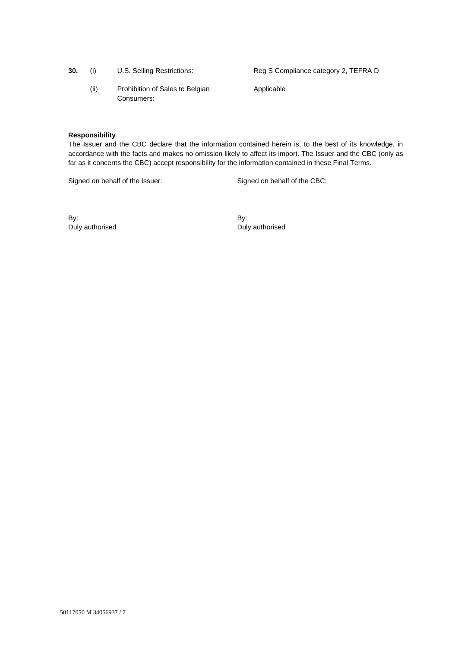| 30. | (i) | U.S. Selling Restrictions |
|-----|-----|---------------------------|
|     |     |                           |

(ii) Prohibition of Sales to Belgian Consumers:

**30. The S Compliance category 2, TEFRA D.** Selling Reg S Compliance category 2, TEFRA D

Applicable

### **Responsibility**

The Issuer and the CBC declare that the information contained herein is, to the best of its knowledge, in accordance with the facts and makes no omission likely to affect its import. The Issuer and the CBC (only as far as it concerns the CBC) accept responsibility for the information contained in these Final Terms.

Signed on behalf of the Issuer: Signed on behalf of the CBC:

By: Duly authorised By: Duly authorised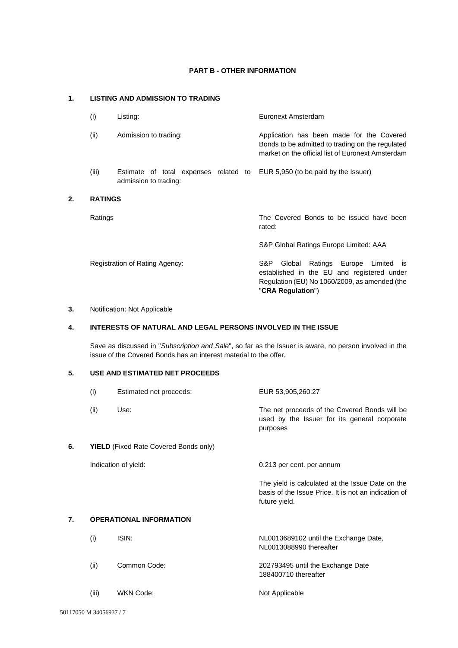## **PART B - OTHER INFORMATION**

# **1. LISTING AND ADMISSION TO TRADING**

| (i)            | Listing:                                                       | Euronext Amsterdam                                                                                                                                                        |
|----------------|----------------------------------------------------------------|---------------------------------------------------------------------------------------------------------------------------------------------------------------------------|
| (ii)           | Admission to trading:                                          | Application has been made for the Covered<br>Bonds to be admitted to trading on the regulated<br>market on the official list of Euronext Amsterdam                        |
| (iii)          | Estimate of total expenses related to<br>admission to trading: | EUR 5,950 (to be paid by the Issuer)                                                                                                                                      |
| <b>RATINGS</b> |                                                                |                                                                                                                                                                           |
| Ratings        |                                                                | The Covered Bonds to be issued have been<br>rated:                                                                                                                        |
|                |                                                                | S&P Global Ratings Europe Limited: AAA                                                                                                                                    |
|                | Registration of Rating Agency:                                 | S&P.<br>Ratings Europe Limited<br>Global<br><b>IS</b><br>established in the EU and registered under<br>Regulation (EU) No 1060/2009, as amended (the<br>"CRA Regulation") |

## **3.** Notification: Not Applicable

**2. RATINGS**

# **4. INTERESTS OF NATURAL AND LEGAL PERSONS INVOLVED IN THE ISSUE**

Save as discussed in "*Subscription and Sale*", so far as the Issuer is aware, no person involved in the issue of the Covered Bonds has an interest material to the offer.

## **5. USE AND ESTIMATED NET PROCEEDS**

|    | (i)  | Estimated net proceeds:                      | EUR 53,905,260.27                                                                                                         |
|----|------|----------------------------------------------|---------------------------------------------------------------------------------------------------------------------------|
|    | (ii) | Use:                                         | The net proceeds of the Covered Bonds will be<br>used by the Issuer for its general corporate<br>purposes                 |
| 6. |      | <b>YIELD</b> (Fixed Rate Covered Bonds only) |                                                                                                                           |
|    |      | Indication of yield:                         | 0.213 per cent. per annum                                                                                                 |
|    |      |                                              | The yield is calculated at the Issue Date on the<br>basis of the Issue Price. It is not an indication of<br>future yield. |
| 7. |      | <b>OPERATIONAL INFORMATION</b>               |                                                                                                                           |
|    | (i)  | ISIN:                                        | NL0013689102 until the Exchange Date,<br>NL0013088990 thereafter                                                          |
|    | (ii) | Common Code:                                 | 202793495 until the Exchange Date<br>188400710 thereafter                                                                 |
|    |      |                                              |                                                                                                                           |

(iii) WKN Code: Not Applicable